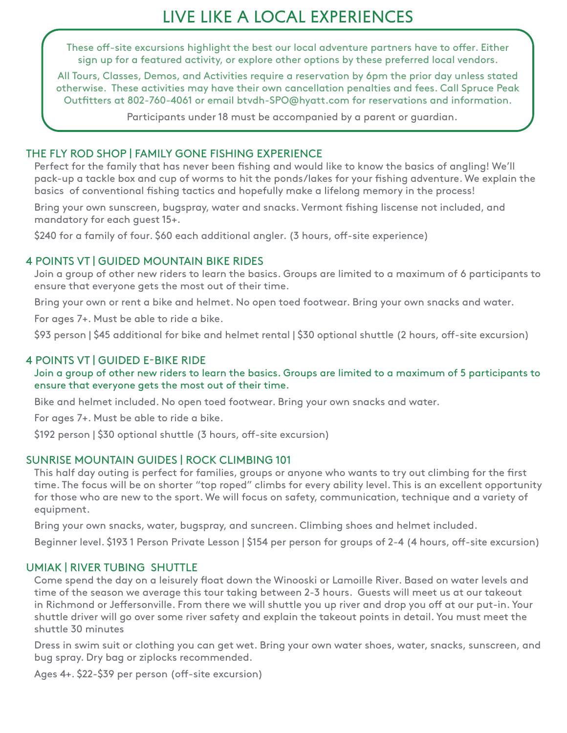# Live Like a Local Experiences

These off-site excursions highlight the best our local adventure partners have to offer. Either sign up for a featured activity, or explore other options by these preferred local vendors.

All Tours, Classes, Demos, and Activities require a reservation by 6pm the prior day unless stated otherwise. These activities may have their own cancellation penalties and fees. Call Spruce Peak Outfitters at 802-760-4061 or email btvdh-SPO@hyatt.com for reservations and information.

Participants under 18 must be accompanied by a parent or guardian.

### THE FLY ROD SHOP | FAMILY GONE FISHING EXPERIENCE

Perfect for the family that has never been fishing and would like to know the basics of angling! We'll pack-up a tackle box and cup of worms to hit the ponds/lakes for your fishing adventure. We explain the basics of conventional fishing tactics and hopefully make a lifelong memory in the process!

Bring your own sunscreen, bugspray, water and snacks. Vermont fishing liscense not included, and mandatory for each guest 15+.

\$240 for a family of four. \$60 each additional angler. (3 hours, off-site experience)

## 4 POINTS VT | GUIDED MOUNTAIN BIKE RIDES

Join a group of other new riders to learn the basics. Groups are limited to a maximum of 6 participants to ensure that everyone gets the most out of their time.

Bring your own or rent a bike and helmet. No open toed footwear. Bring your own snacks and water.

For ages 7+. Must be able to ride a bike.

\$93 person | \$45 additional for bike and helmet rental | \$30 optional shuttle (2 hours, off-site excursion)

# 4 POINTS VT | GUIDED E-BIKE RIDE

Join a group of other new riders to learn the basics. Groups are limited to a maximum of 5 participants to ensure that everyone gets the most out of their time.

Bike and helmet included. No open toed footwear. Bring your own snacks and water.

For ages 7+. Must be able to ride a bike.

\$192 person | \$30 optional shuttle (3 hours, off-site excursion)

## SUNRISE MOUNTAIN GUIDES | ROCK CLIMBING 101

This half day outing is perfect for families, groups or anyone who wants to try out climbing for the first time. The focus will be on shorter "top roped" climbs for every ability level. This is an excellent opportunity for those who are new to the sport. We will focus on safety, communication, technique and a variety of equipment.

Bring your own snacks, water, bugspray, and suncreen. Climbing shoes and helmet included.

Beginner level. \$193 1 Person Private Lesson | \$154 per person for groups of 2-4 (4 hours, off-site excursion)

# UMIAK | RIVER TUBING SHUTTLE

Come spend the day on a leisurely float down the Winooski or Lamoille River. Based on water levels and time of the season we average this tour taking between 2-3 hours. Guests will meet us at our takeout in Richmond or Jeffersonville. From there we will shuttle you up river and drop you off at our put-in. Your shuttle driver will go over some river safety and explain the takeout points in detail. You must meet the shuttle 30 minutes

Dress in swim suit or clothing you can get wet. Bring your own water shoes, water, snacks, sunscreen, and bug spray. Dry bag or ziplocks recommended.

Ages 4+. \$22-\$39 per person (off-site excursion)